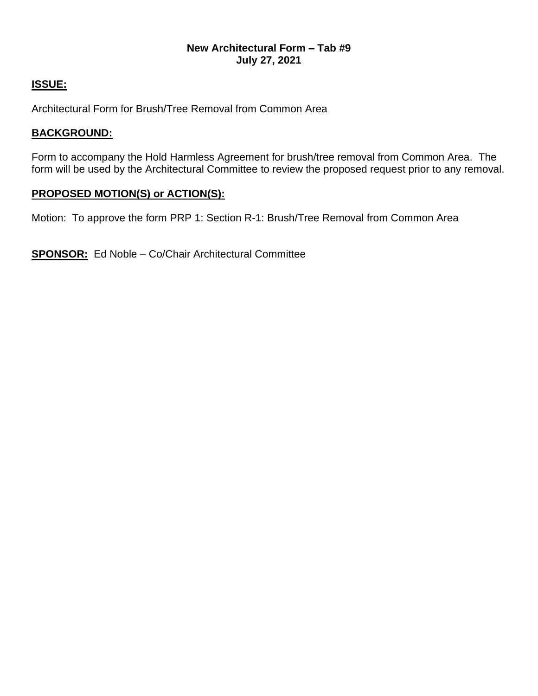# **New Architectural Form – Tab #9 July 27, 2021**

# **ISSUE:**

Architectural Form for Brush/Tree Removal from Common Area

# **BACKGROUND:**

Form to accompany the Hold Harmless Agreement for brush/tree removal from Common Area. The form will be used by the Architectural Committee to review the proposed request prior to any removal.

# **PROPOSED MOTION(S) or ACTION(S):**

Motion: To approve the form PRP 1: Section R-1: Brush/Tree Removal from Common Area

**SPONSOR:** Ed Noble – Co/Chair Architectural Committee